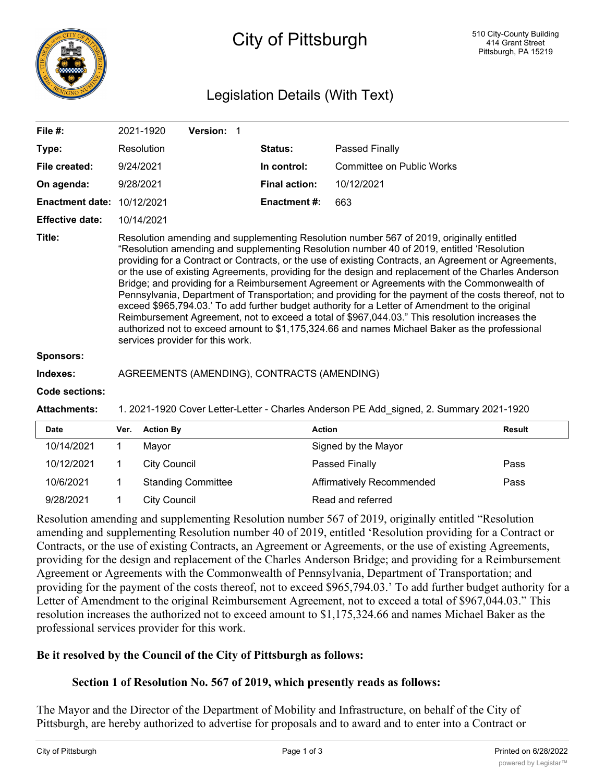

# City of Pittsburgh

## Legislation Details (With Text)

| File #:                           | 2021-1920                                                                                                                                                                                                                                                                                                                                                                                                                                                                                                                                                                                                                                                                                                                                                                                                                                                                                                                                              | <b>Version: 1</b> |                      |                                             |  |  |  |
|-----------------------------------|--------------------------------------------------------------------------------------------------------------------------------------------------------------------------------------------------------------------------------------------------------------------------------------------------------------------------------------------------------------------------------------------------------------------------------------------------------------------------------------------------------------------------------------------------------------------------------------------------------------------------------------------------------------------------------------------------------------------------------------------------------------------------------------------------------------------------------------------------------------------------------------------------------------------------------------------------------|-------------------|----------------------|---------------------------------------------|--|--|--|
| Type:                             | Resolution                                                                                                                                                                                                                                                                                                                                                                                                                                                                                                                                                                                                                                                                                                                                                                                                                                                                                                                                             |                   | <b>Status:</b>       | Passed Finally                              |  |  |  |
| File created:                     | 9/24/2021                                                                                                                                                                                                                                                                                                                                                                                                                                                                                                                                                                                                                                                                                                                                                                                                                                                                                                                                              |                   | In control:          | Committee on Public Works                   |  |  |  |
| On agenda:                        | 9/28/2021                                                                                                                                                                                                                                                                                                                                                                                                                                                                                                                                                                                                                                                                                                                                                                                                                                                                                                                                              |                   | <b>Final action:</b> | 10/12/2021                                  |  |  |  |
| <b>Enactment date: 10/12/2021</b> |                                                                                                                                                                                                                                                                                                                                                                                                                                                                                                                                                                                                                                                                                                                                                                                                                                                                                                                                                        |                   | <b>Enactment #:</b>  | 663                                         |  |  |  |
| <b>Effective date:</b>            | 10/14/2021                                                                                                                                                                                                                                                                                                                                                                                                                                                                                                                                                                                                                                                                                                                                                                                                                                                                                                                                             |                   |                      |                                             |  |  |  |
| Title:                            | Resolution amending and supplementing Resolution number 567 of 2019, originally entitled<br>"Resolution amending and supplementing Resolution number 40 of 2019, entitled 'Resolution<br>providing for a Contract or Contracts, or the use of existing Contracts, an Agreement or Agreements,<br>or the use of existing Agreements, providing for the design and replacement of the Charles Anderson<br>Bridge; and providing for a Reimbursement Agreement or Agreements with the Commonwealth of<br>Pennsylvania, Department of Transportation; and providing for the payment of the costs thereof, not to<br>exceed \$965,794.03.' To add further budget authority for a Letter of Amendment to the original<br>Reimbursement Agreement, not to exceed a total of \$967,044.03." This resolution increases the<br>authorized not to exceed amount to \$1,175,324.66 and names Michael Baker as the professional<br>services provider for this work. |                   |                      |                                             |  |  |  |
| <b>Sponsors:</b>                  |                                                                                                                                                                                                                                                                                                                                                                                                                                                                                                                                                                                                                                                                                                                                                                                                                                                                                                                                                        |                   |                      |                                             |  |  |  |
| Indexes:                          |                                                                                                                                                                                                                                                                                                                                                                                                                                                                                                                                                                                                                                                                                                                                                                                                                                                                                                                                                        |                   |                      | AGREEMENTS (AMENDING), CONTRACTS (AMENDING) |  |  |  |

#### **Code sections:**

**Attachments:** 1. 2021-1920 Cover Letter-Letter - Charles Anderson PE Add\_signed, 2. Summary 2021-1920

| <b>Date</b> | Ver. | <b>Action By</b>          | <b>Action</b>             | Result |
|-------------|------|---------------------------|---------------------------|--------|
| 10/14/2021  |      | Mavor                     | Signed by the Mayor       |        |
| 10/12/2021  |      | City Council              | Passed Finally            | Pass   |
| 10/6/2021   |      | <b>Standing Committee</b> | Affirmatively Recommended | Pass   |
| 9/28/2021   |      | <b>City Council</b>       | Read and referred         |        |

Resolution amending and supplementing Resolution number 567 of 2019, originally entitled "Resolution amending and supplementing Resolution number 40 of 2019, entitled 'Resolution providing for a Contract or Contracts, or the use of existing Contracts, an Agreement or Agreements, or the use of existing Agreements, providing for the design and replacement of the Charles Anderson Bridge; and providing for a Reimbursement Agreement or Agreements with the Commonwealth of Pennsylvania, Department of Transportation; and providing for the payment of the costs thereof, not to exceed \$965,794.03.' To add further budget authority for a Letter of Amendment to the original Reimbursement Agreement, not to exceed a total of \$967,044.03." This resolution increases the authorized not to exceed amount to \$1,175,324.66 and names Michael Baker as the professional services provider for this work.

#### **Be it resolved by the Council of the City of Pittsburgh as follows:**

## **Section 1 of Resolution No. 567 of 2019, which presently reads as follows:**

The Mayor and the Director of the Department of Mobility and Infrastructure, on behalf of the City of Pittsburgh, are hereby authorized to advertise for proposals and to award and to enter into a Contract or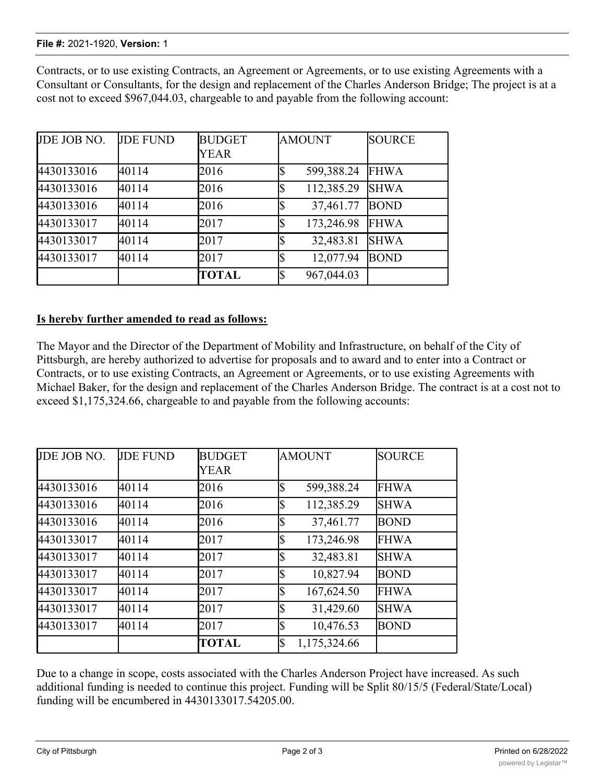#### **File #:** 2021-1920, **Version:** 1

Contracts, or to use existing Contracts, an Agreement or Agreements, or to use existing Agreements with a Consultant or Consultants, for the design and replacement of the Charles Anderson Bridge; The project is at a cost not to exceed \$967,044.03, chargeable to and payable from the following account:

| JDE JOB NO. | <b>JDE FUND</b> | <b>BUDGET</b> | <b>AMOUNT</b>     | <b>SOURCE</b> |
|-------------|-----------------|---------------|-------------------|---------------|
|             |                 | <b>YEAR</b>   |                   |               |
| 4430133016  | 40114           | 2016          | 599,388.24        | <b>FHWA</b>   |
| 4430133016  | 40114           | 2016          | 112,385.29        | <b>SHWA</b>   |
| 4430133016  | 40114           | 2016          | 37,461.77         | <b>BOND</b>   |
| 4430133017  | 40114           | 2017          | 173,246.98<br>Iৌ  | <b>FHWA</b>   |
| 4430133017  | 40114           | 2017          | 32,483.81         | <b>SHWA</b>   |
| 4430133017  | 40114           | 2017          | 12,077.94         | <b>BOND</b>   |
|             |                 | TOTAL         | 967,044.03<br>l\$ |               |

#### **Is hereby further amended to read as follows:**

The Mayor and the Director of the Department of Mobility and Infrastructure, on behalf of the City of Pittsburgh, are hereby authorized to advertise for proposals and to award and to enter into a Contract or Contracts, or to use existing Contracts, an Agreement or Agreements, or to use existing Agreements with Michael Baker, for the design and replacement of the Charles Anderson Bridge. The contract is at a cost not to exceed \$1,175,324.66, chargeable to and payable from the following accounts:

| JDE JOB NO. | <b>JDE FUND</b> | <b>BUDGET</b><br><b>YEAR</b> |    | <b>AMOUNT</b> | <b>SOURCE</b> |
|-------------|-----------------|------------------------------|----|---------------|---------------|
| 4430133016  | 40114           | 2016                         |    | 599,388.24    | <b>FHWA</b>   |
| 4430133016  | 40114           | 2016                         |    | 112,385.29    | <b>SHWA</b>   |
| 4430133016  | 40114           | 2016                         | ¢  | 37,461.77     | BOND          |
| 4430133017  | 40114           | 2017                         | \$ | 173,246.98    | <b>FHWA</b>   |
| 4430133017  | 40114           | 2017                         | \$ | 32,483.81     | <b>SHWA</b>   |
| 4430133017  | 40114           | 2017                         |    | 10,827.94     | <b>BOND</b>   |
| 4430133017  | 40114           | 2017                         | \$ | 167,624.50    | <b>FHWA</b>   |
| 4430133017  | 40114           | 2017                         | \$ | 31,429.60     | <b>SHWA</b>   |
| 4430133017  | 40114           | 2017                         | ¢  | 10,476.53     | <b>BOND</b>   |
|             |                 | TOTAL                        | \$ | 1,175,324.66  |               |

Due to a change in scope, costs associated with the Charles Anderson Project have increased. As such additional funding is needed to continue this project. Funding will be Split 80/15/5 (Federal/State/Local) funding will be encumbered in 4430133017.54205.00.